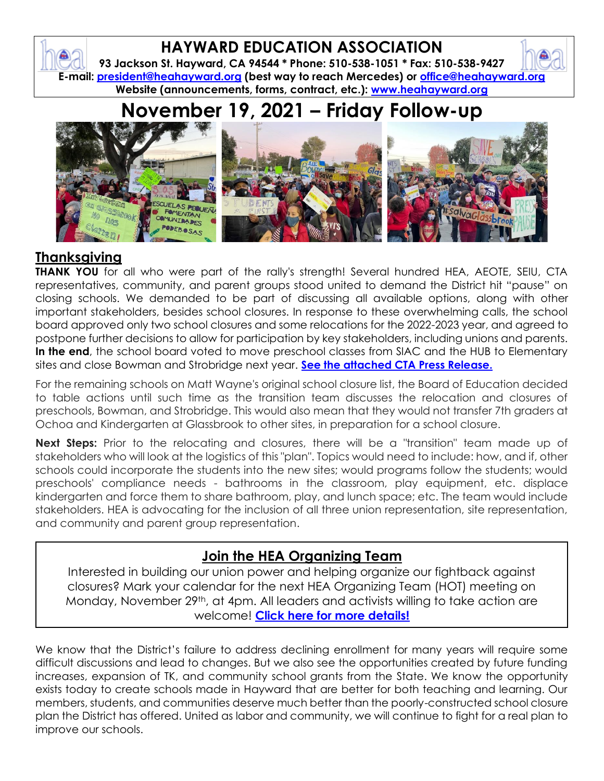

# **Thanksgiving**

**THANK YOU** for all who were part of the rally's strength! Several hundred HEA, AEOTE, SEIU, CTA representatives, community, and parent groups stood united to demand the District hit "pause" on closing schools. We demanded to be part of discussing all available options, along with other important stakeholders, besides school closures. In response to these overwhelming calls, the school board approved only two school closures and some relocations for the 2022-2023 year, and agreed to postpone further decisions to allow for participation by key stakeholders, including unions and parents. In the end, the school board voted to move preschool classes from SIAC and the HUB to Elementary sites and close Bowman and Strobridge next year. **[See the attached CTA Press Release.](https://drive.google.com/file/d/18-lhsVppB-9ifALzZCaZe5GpzfIF1Ijv/view?usp=sharing)**

For the remaining schools on Matt Wayne's original school closure list, the Board of Education decided to table actions until such time as the transition team discusses the relocation and closures of preschools, Bowman, and Strobridge. This would also mean that they would not transfer 7th graders at Ochoa and Kindergarten at Glassbrook to other sites, in preparation for a school closure.

**Next Steps:** Prior to the relocating and closures, there will be a "transition" team made up of stakeholders who will look at the logistics of this "plan". Topics would need to include: how, and if, other schools could incorporate the students into the new sites; would programs follow the students; would preschools' compliance needs - bathrooms in the classroom, play equipment, etc. displace kindergarten and force them to share bathroom, play, and lunch space; etc. The team would include stakeholders. HEA is advocating for the inclusion of all three union representation, site representation, and community and parent group representation.

# **Join the HEA Organizing Team**

Interested in building our union power and helping organize our fightback against closures? Mark your calendar for the next HEA Organizing Team (HOT) meeting on Monday, November 29<sup>th</sup>, at 4pm. All leaders and activists willing to take action are welcome! **[Click here for more details!](https://drive.google.com/file/d/1EMkQ_ey_rwljuVav-J57ykoEIh3DxTj7/view?usp=sharing)**

We know that the District's failure to address declining enrollment for many years will require some difficult discussions and lead to changes. But we also see the opportunities created by future funding increases, expansion of TK, and community school grants from the State. We know the opportunity exists today to create schools made in Hayward that are better for both teaching and learning. Our members, students, and communities deserve much better than the poorly-constructed school closure plan the District has offered. United as labor and community, we will continue to fight for a real plan to improve our schools.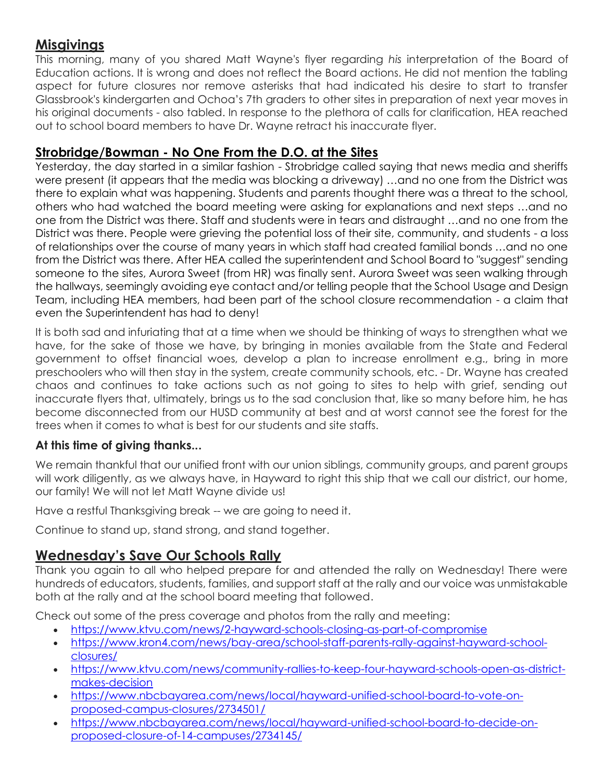# **Misgivings**

This morning, many of you shared Matt Wayne's flyer regarding *his* interpretation of the Board of Education actions. It is wrong and does not reflect the Board actions. He did not mention the tabling aspect for future closures nor remove asterisks that had indicated his desire to start to transfer Glassbrook's kindergarten and Ochoa's 7th graders to other sites in preparation of next year moves in his original documents - also tabled. In response to the plethora of calls for clarification, HEA reached out to school board members to have Dr. Wayne retract his inaccurate flyer.

#### **Strobridge/Bowman - No One From the D.O. at the Sites**

Yesterday, the day started in a similar fashion - Strobridge called saying that news media and sheriffs were present (it appears that the media was blocking a driveway) …and no one from the District was there to explain what was happening. Students and parents thought there was a threat to the school, others who had watched the board meeting were asking for explanations and next steps …and no one from the District was there. Staff and students were in tears and distraught …and no one from the District was there. People were grieving the potential loss of their site, community, and students - a loss of relationships over the course of many years in which staff had created familial bonds …and no one from the District was there. After HEA called the superintendent and School Board to "suggest" sending someone to the sites, Aurora Sweet (from HR) was finally sent. Aurora Sweet was seen walking through the hallways, seemingly avoiding eye contact and/or telling people that the School Usage and Design Team, including HEA members, had been part of the school closure recommendation - a claim that even the Superintendent has had to deny!

It is both sad and infuriating that at a time when we should be thinking of ways to strengthen what we have, for the sake of those we have, by bringing in monies available from the State and Federal government to offset financial woes, develop a plan to increase enrollment e.g., bring in more preschoolers who will then stay in the system, create community schools, etc. - Dr. Wayne has created chaos and continues to take actions such as not going to sites to help with grief, sending out inaccurate flyers that, ultimately, brings us to the sad conclusion that, like so many before him, he has become disconnected from our HUSD community at best and at worst cannot see the forest for the trees when it comes to what is best for our students and site staffs.

#### **At this time of giving thanks...**

We remain thankful that our unified front with our union siblings, community groups, and parent groups will work diligently, as we always have, in Hayward to right this ship that we call our district, our home, our family! We will not let Matt Wayne divide us!

Have a restful Thanksgiving break -- we are going to need it.

Continue to stand up, stand strong, and stand together.

## **Wednesday's Save Our Schools Rally**

Thank you again to all who helped prepare for and attended the rally on Wednesday! There were hundreds of educators, students, families, and support staff at the rally and our voice was unmistakable both at the rally and at the school board meeting that followed.

Check out some of the press coverage and photos from the rally and meeting:

- <https://www.ktvu.com/news/2-hayward-schools-closing-as-part-of-compromise>
- [https://www.kron4.com/news/bay-area/school-staff-parents-rally-against-hayward-school](https://www.kron4.com/news/bay-area/school-staff-parents-rally-against-hayward-school-closures/)[closures/](https://www.kron4.com/news/bay-area/school-staff-parents-rally-against-hayward-school-closures/)
- [https://www.ktvu.com/news/community-rallies-to-keep-four-hayward-schools-open-as-district](https://www.ktvu.com/news/community-rallies-to-keep-four-hayward-schools-open-as-district-makes-decision)[makes-decision](https://www.ktvu.com/news/community-rallies-to-keep-four-hayward-schools-open-as-district-makes-decision)
- [https://www.nbcbayarea.com/news/local/hayward-unified-school-board-to-vote-on](https://www.nbcbayarea.com/news/local/hayward-unified-school-board-to-vote-on-proposed-campus-closures/2734501/)[proposed-campus-closures/2734501/](https://www.nbcbayarea.com/news/local/hayward-unified-school-board-to-vote-on-proposed-campus-closures/2734501/)
- [https://www.nbcbayarea.com/news/local/hayward-unified-school-board-to-decide-on](https://www.nbcbayarea.com/news/local/hayward-unified-school-board-to-decide-on-proposed-closure-of-14-campuses/2734145/)[proposed-closure-of-14-campuses/2734145/](https://www.nbcbayarea.com/news/local/hayward-unified-school-board-to-decide-on-proposed-closure-of-14-campuses/2734145/)